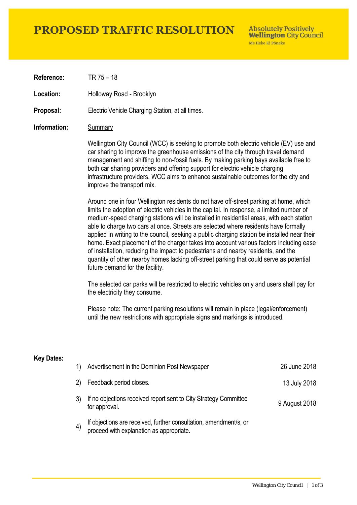# **PROPOSED TRAFFIC RESOLUTION**

**Absolutely Positively Wellington City Council** Me Heke Ki Pôneke

**Reference:** TR 75 – 18

Location: Holloway Road - Brooklyn

**Proposal:** Electric Vehicle Charging Station, at all times.

### **Information:** Summary

Wellington City Council (WCC) is seeking to promote both electric vehicle (EV) use and car sharing to improve the greenhouse emissions of the city through travel demand management and shifting to non-fossil fuels. By making parking bays available free to both car sharing providers and offering support for electric vehicle charging infrastructure providers, WCC aims to enhance sustainable outcomes for the city and improve the transport mix.

Around one in four Wellington residents do not have off-street parking at home, which limits the adoption of electric vehicles in the capital. In response, a limited number of medium-speed charging stations will be installed in residential areas, with each station able to charge two cars at once. Streets are selected where residents have formally applied in writing to the council, seeking a public charging station be installed near their home. Exact placement of the charger takes into account various factors including ease of installation, reducing the impact to pedestrians and nearby residents, and the quantity of other nearby homes lacking off-street parking that could serve as potential future demand for the facility.

The selected car parks will be restricted to electric vehicles only and users shall pay for the electricity they consume.

Please note: The current parking resolutions will remain in place (legal/enforcement) until the new restrictions with appropriate signs and markings is introduced.

#### **Key Dates:**

| 1) | Advertisement in the Dominion Post Newspaper                                                               | 26 June 2018  |
|----|------------------------------------------------------------------------------------------------------------|---------------|
|    | 2) Feedback period closes.                                                                                 | 13 July 2018  |
|    | If no objections received report sent to City Strategy Committee<br>for approval.                          | 9 August 2018 |
| 4) | If objections are received, further consultation, amendment/s, or proceed with explanation as appropriate. |               |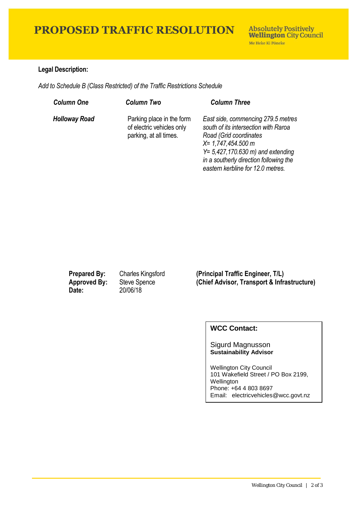# **PROPOSED TRAFFIC RESOLUTION**

### **Legal Description:**

*Add to Schedule B (Class Restricted) of the Traffic Restrictions Schedule* 

| <b>Column One</b>    | <b>Column Two</b>                                                                | <b>Column Three</b>                                                                                                                                                                                                                                  |
|----------------------|----------------------------------------------------------------------------------|------------------------------------------------------------------------------------------------------------------------------------------------------------------------------------------------------------------------------------------------------|
| <b>Holloway Road</b> | Parking place in the form<br>of electric vehicles only<br>parking, at all times. | East side, commencing 279.5 metres<br>south of its intersection with Raroa<br>Road (Grid coordinates<br>$X = 1,747,454.500$ m<br>$Y = 5,427,170.630$ m) and extending<br>in a southerly direction following the<br>eastern kerbline for 12.0 metres. |

**Date:** 20/06/18

**Prepared By:** Charles Kingsford **(Principal Traffic Engineer, T/L) Approved By:** Steve Spence **(Chief Advisor, Transport & Infrastructure)**

## **WCC Contact:**

#### Sigurd Magnusson **Sustainability Advisor**

Wellington City Council 101 Wakefield Street / PO Box 2199, **Wellington** Phone: +64 4 803 8697 Email: electricvehicles@wcc.govt.nz